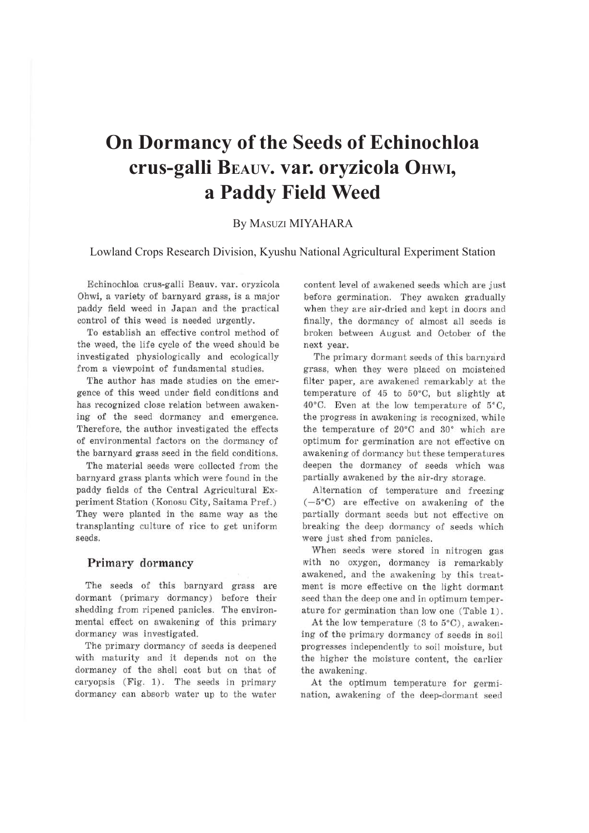# **On Dormancy of the Seeds of Echinochloa crus-galli BEAUV. var. oryzicola OHWI, a Paddy Field Weed**

### By MASUZI MIYAHARA

#### Lowland Crops Research Division, Kyushu National Agricultural Experiment Station

Echinochloa crus-galli Beauv. var. oryzicola Ohwi, a variety of barnyard grass, is a major paddy field weed in Japan and the practical control of this weed is needed urgently.

To establish an effective control method of the weed, the life cycle of the weed should be investigated physiologically and ecologically from a viewpoint of fundamental studies.

The author has made studies on the emergence of this weed under field conditions and has recognized close relation between awakening of the seed dormancy and emergence. Therefore, the author investigated the effects of environmental factors on the dormancy of the barnyard grass seed in the field conditions.

The material seeds were collected from the barnyard grass plants which were found in the paddy fields of the Central Agricultural Experiment Station (Konosu City, Saitama Pref.) They were planted in the same way as the transplanting culture of rice to get uniform seeds.

#### **Primary dormancy**

The seeds of this barnyard grass are dormant (primary dormancy) before their shedding from ripened panicles. The environmental effect on awakening of this primary dormancy was investigated.

The primary dormancy of seeds is deepened with maturity and it depends not on the dormancy of the shell coat but on that of caryopsis (Fig. 1). The seeds in primary dormancy can absorb water up to the water

content level of awakened seeds which are just before germination. They awaken gradually when they are air-dried and kept in doors and finally, the dormancy of almost all seeds is broken between August and October of the next year.

The primary dormant seeds of this barnyard grass, when they were placed on moistened filter paper, are awakened remarkably at the temperature of 45 to 50°C, but slightly at 40°C. Even at the low temperature of 5°C, the progress in awakening is recognized, while the temperature of 20°C and 30° which are optimum for germination are not effective on awakening of dormancy but these temperatures deepen the dormancy of seeds which was partially awakened by the air-dry storage.

Alternation of temperature and freezing  $(-5^{\circ}C)$  are effective on awakening of the partially dormant seeds but not effective on breaking the deep dormancy of seeds which were just shed from panicles.

When seeds were stored in nitrogen gas with no oxygen, dormancy is remarkably awakened, and the awakening by this treatment is more effective on the light dormant seed than the deep one and in optimum temperature for germination than low one (Table 1) .

At the low temperature (3 to 5°C), awakening of the primary dormancy of seeds in soil progresses independently to soil moisture, but the higher the moisture content, the earlier the awakening.

At the optimum temperature for germination, awakening of the deep-dormant seed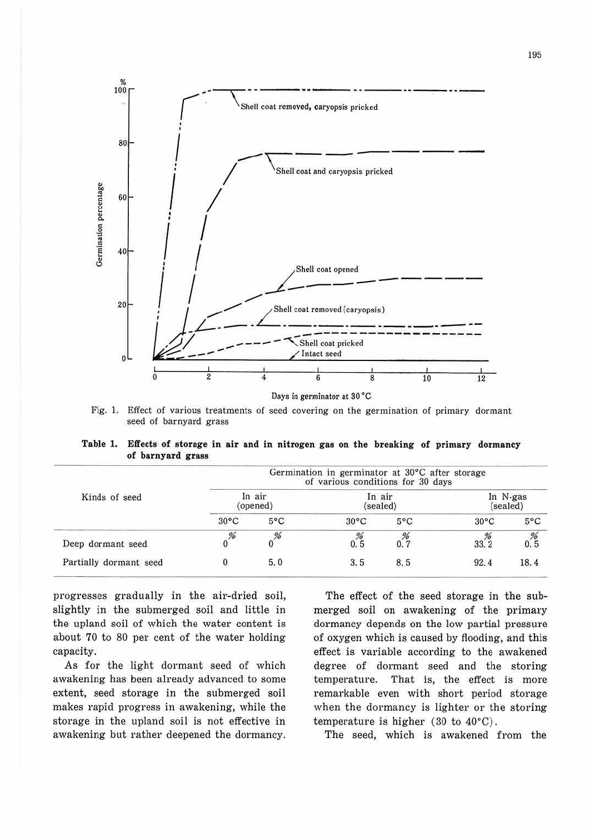

Fig. **1.** Effect of various treatments of seed covering on the germination of primary dormant seed of barnyard grass

**Table 1. Effects of storage in air and in nitrogen gas on the breaking of primary dormancy of barnyard grass** 

| Kinds of seed          | Germination in germinator at 30°C after storage<br>of various conditions for 30 days |               |                    |               |                      |               |  |
|------------------------|--------------------------------------------------------------------------------------|---------------|--------------------|---------------|----------------------|---------------|--|
|                        | In air<br>(opened)                                                                   |               | In air<br>(sealed) |               | In N-gas<br>(sealed) |               |  |
|                        | $30^{\circ}$ C                                                                       | $5^{\circ}$ C | $30^{\circ}$ C     | $5^{\circ}$ C | $30^{\circ}$ C       | $5^{\circ}$ C |  |
| Deep dormant seed      | %                                                                                    | %             | 0.5                |               | 33.2                 | 0.5           |  |
| Partially dormant seed |                                                                                      | 5.0           | 3.5                | 8.5           | 92.4                 | 18.4          |  |

progresses gradually in the air-dried soil, slightly in the submerged soil and little in the upland soil of which the water content is about 70 to 80 per cent of the water holding capacity.

As for the light dormant seed of which awakening has been already advanced to some extent, seed storage in the submerged soil makes rapid progress in awakening, while the storage in the upland soil is not effective in awakening but rather deepened the dormancy.

The effect of the seed storage in the submerged soil on awakening of the primary dormancy depends on the low partial pressure of oxygen which is caused by flooding, and this effect is variable according to the awakened degree of dormant seed and the storing temperature. That is, the effect is more remarkable even with short period storage when the dormancy is lighter or the storing temperature is higher (30 to 40°C).

The seed, which is awakened from the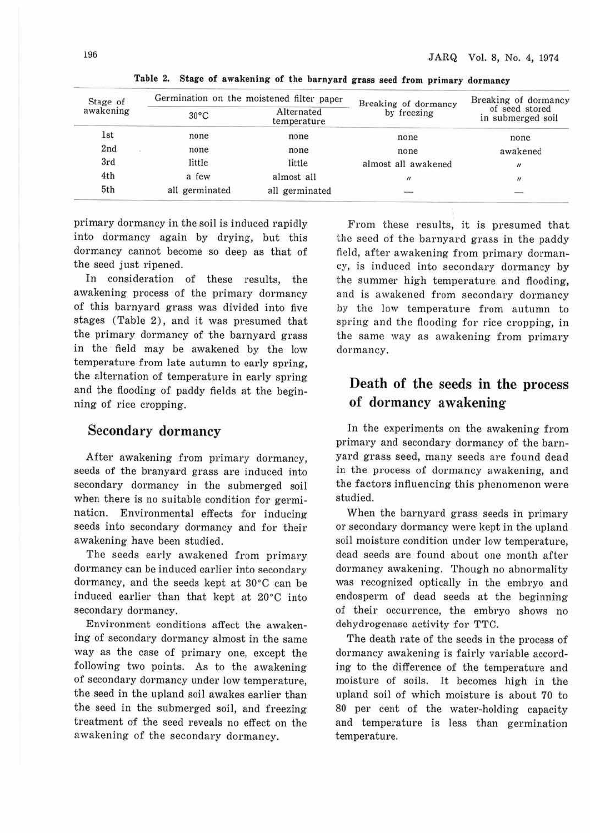| Stage of   | Germination on the moistened filter paper |                           | Breaking of dormancy | Breaking of dormancy                |  |
|------------|-------------------------------------------|---------------------------|----------------------|-------------------------------------|--|
| awakening  | $30^{\circ}$ C                            | Alternated<br>temperature | by freezing          | of seed stored<br>in submerged soil |  |
| <b>lst</b> | none                                      | none                      | none                 | none                                |  |
| 2nd        | <b>CONSUMING</b><br>none                  | none                      | none                 | awakened                            |  |
| 3rd        | little                                    | little                    | almost all awakened  | $^{\prime\prime}$                   |  |
| 4th        | a few                                     | almost all                | $^{\prime\prime}$    | $\boldsymbol{\mu}$                  |  |
| 5th        | all germinated                            | all germinated            | نست                  |                                     |  |

**Table 2. Stage of awakening of the barnyard grass seed from primary dormancy** 

primary dormancy in the soil is induced rapidly into dormancy again by drying, but this dormancy cannot become so deep as that of the seed just ripened.

In consideration of these results, the awakening process of the primary dormancy of this barnyard grass was divided into five stages (Table 2), and it was presumed that the primary dormancy of the barnyard grass in the field may be awakened by the low temperature from late autumn to early spring, the alternation of temperature in early spring and the flooding of paddy fields at the beginning of rice cropping.

#### Secondary dormancy

After awakening from primary dormancy, seeds of the branyard grass are induced into secondary dormancy in the submerged soil when there is no suitable condition for germination. Environmental effects for inducing seeds into secondary dormancy and for their awakening have been studied.

The seeds early awakened from primary dormancy can be induced earlier into secondary dormancy, and the seeds kept at 30·C can be induced earlier than that kept at 20°C into secondary dormancy.

Environment conditions affect the awakening of secondary dormancy almost in the same way as the case of primary one, except the following two points. As to the awakening of secondary dormancy under low temperature, the seed in the upland soil awakes earlier than the seed in the submerged soil, and freezing treatment of the seed reveals no effect on the awakening of the secondary dormancy.

From these results, it is presumed that the seed of the barnyard grass in the paddy field, after awakening from primary dormancy, is induced into secondary dormancy by the summer high temperature and flooding, and is awakened from secondary dormancy by the low temperature from autumn to spring and the flooding for rice cropping, in the same way as awakening from primary dormancy.

## Death of the seeds in the process of dormancy awakening

In the experiments on the awakening from primary and secondary dormancy of the bamyard grass seed, many seeds are found dead in the process of dormancy awakening, and the factors influencing this phenomenon were studied.

When the barnyard grass seeds in primary or secondary dormancy were kept in the upland soil moisture condition under low temperature, dead seeds are found about one month after dormancy awakening. Though no abnormality was recognized optically in the embryo and endosperm of dead seeds at the beginning of their occurrence, the embryo shows no dehydrogenase activity for TTC.

The death rate of the seeds in the process of dormancy awakening is fairly variable according to the difference of the temperature and moisture of soils. It becomes high in the upland soil of which moisture is about 70 to 80 per cent of the water-holding capacity and temperature is less than germination temperature.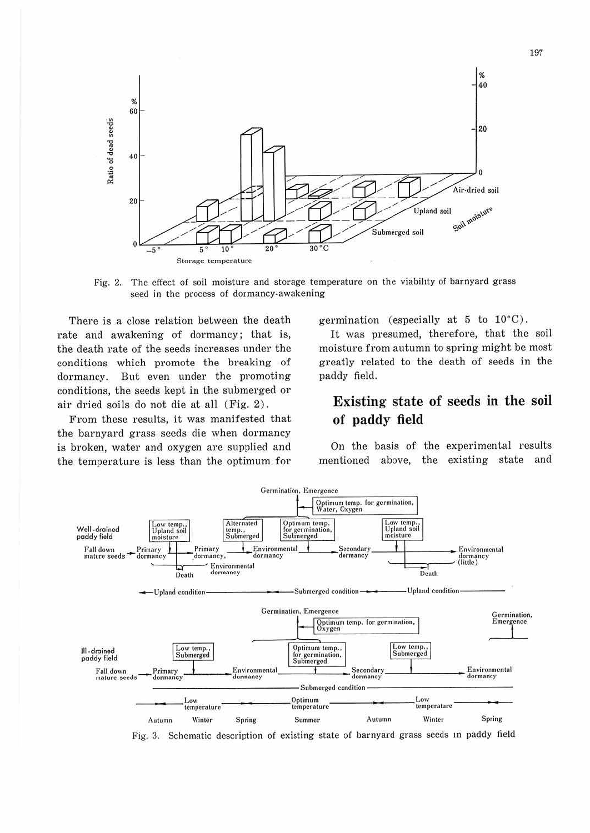

Fig. 2. The effect of soil moisture and storage temperature on the viability of barnyard grass seed in the process of dormancy-awakening

There is a close relation between the death rate and awakening of dormancy; that is, the death rate of the seeds increases under the conditions which promote the breaking of dormancy. But even under the promoting conditions, the seeds kept in the submerged or air dried soils do not die at all (Fig. 2).

From these results, it was manifested that the barnyard grass seeds die when dormancy is broken, water and oxygen are supplied and the temperature is less than the optimum for

germination (especially at 5 to  $10^{\circ}$ C).

It was presumed, therefore, that the soil moisture from autumn to spring might be most greatly related to the death of seeds in the paddy field.

## Existing state of seeds in the soil of paddy field

On the basis of the experimental results mentioned above, the existing state and



Fig. 3. Schematic description of existing state of barnyard grass seeds in paddy field